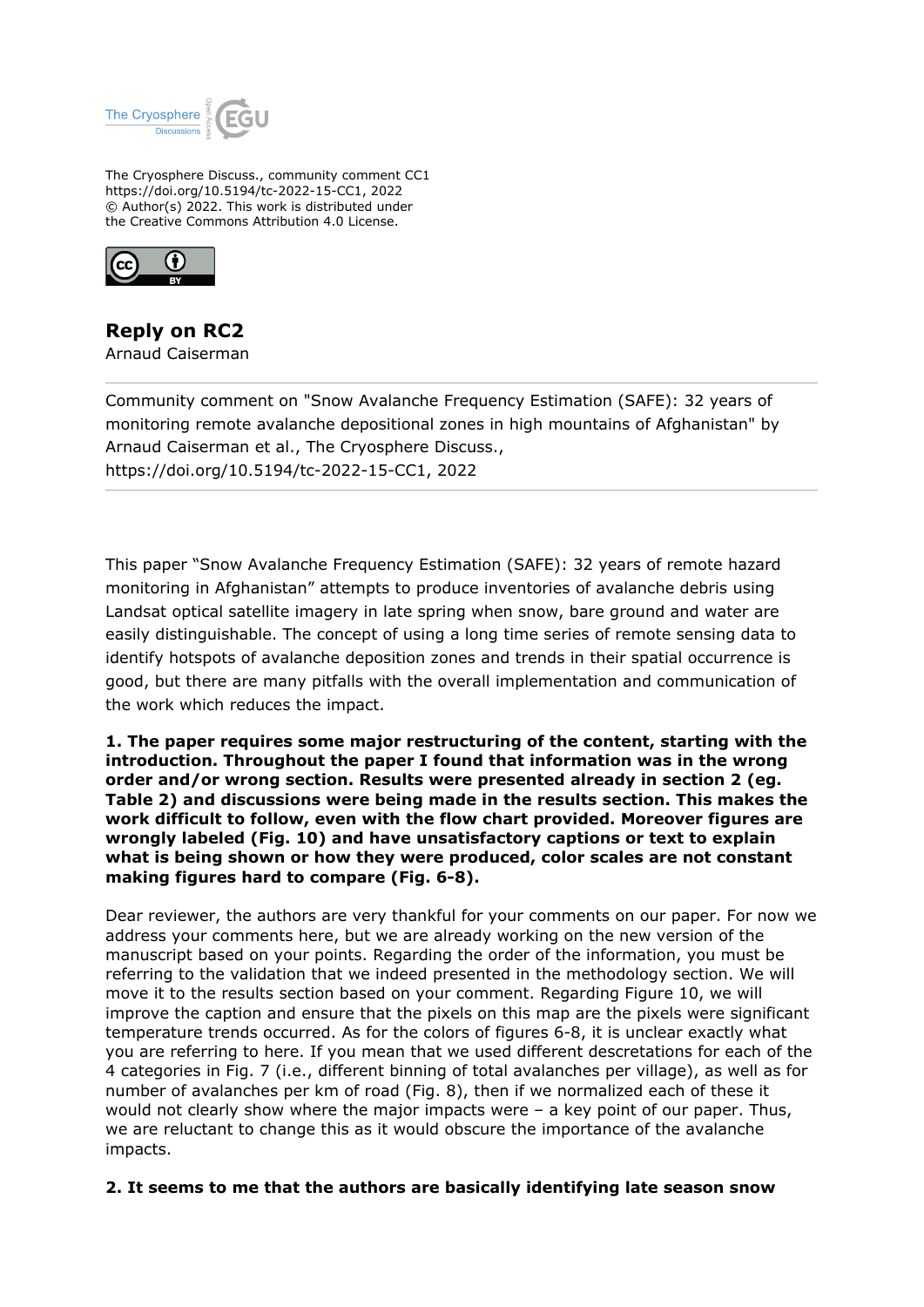

The Cryosphere Discuss., community comment CC1 https://doi.org/10.5194/tc-2022-15-CC1, 2022 © Author(s) 2022. This work is distributed under the Creative Commons Attribution 4.0 License.



## **Reply on RC2**

Arnaud Caiserman

Community comment on "Snow Avalanche Frequency Estimation (SAFE): 32 years of monitoring remote avalanche depositional zones in high mountains of Afghanistan" by Arnaud Caiserman et al., The Cryosphere Discuss., https://doi.org/10.5194/tc-2022-15-CC1, 2022

This paper "Snow Avalanche Frequency Estimation (SAFE): 32 years of remote hazard monitoring in Afghanistan" attempts to produce inventories of avalanche debris using Landsat optical satellite imagery in late spring when snow, bare ground and water are easily distinguishable. The concept of using a long time series of remote sensing data to identify hotspots of avalanche deposition zones and trends in their spatial occurrence is good, but there are many pitfalls with the overall implementation and communication of the work which reduces the impact.

**1. The paper requires some major restructuring of the content, starting with the introduction. Throughout the paper I found that information was in the wrong order and/or wrong section. Results were presented already in section 2 (eg. Table 2) and discussions were being made in the results section. This makes the work difficult to follow, even with the flow chart provided. Moreover figures are wrongly labeled (Fig. 10) and have unsatisfactory captions or text to explain what is being shown or how they were produced, color scales are not constant making figures hard to compare (Fig. 6-8).**

Dear reviewer, the authors are very thankful for your comments on our paper. For now we address your comments here, but we are already working on the new version of the manuscript based on your points. Regarding the order of the information, you must be referring to the validation that we indeed presented in the methodology section. We will move it to the results section based on your comment. Regarding Figure 10, we will improve the caption and ensure that the pixels on this map are the pixels were significant temperature trends occurred. As for the colors of figures 6-8, it is unclear exactly what you are referring to here. If you mean that we used different descretations for each of the 4 categories in Fig. 7 (i.e., different binning of total avalanches per village), as well as for number of avalanches per km of road (Fig. 8), then if we normalized each of these it would not clearly show where the major impacts were – a key point of our paper. Thus, we are reluctant to change this as it would obscure the importance of the avalanche impacts.

## **2. It seems to me that the authors are basically identifying late season snow**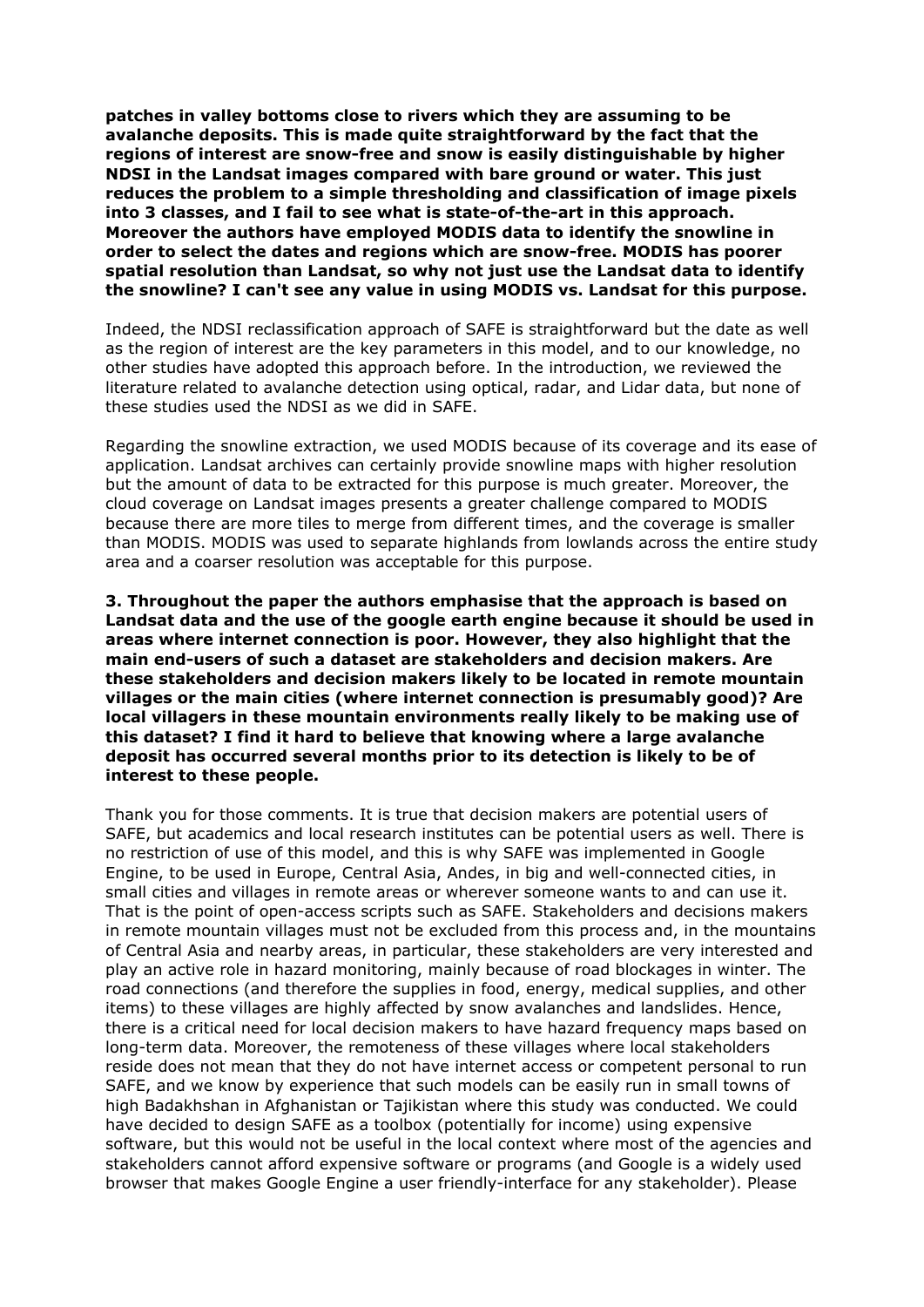**patches in valley bottoms close to rivers which they are assuming to be avalanche deposits. This is made quite straightforward by the fact that the regions of interest are snow-free and snow is easily distinguishable by higher NDSI in the Landsat images compared with bare ground or water. This just reduces the problem to a simple thresholding and classification of image pixels into 3 classes, and I fail to see what is state-of-the-art in this approach. Moreover the authors have employed MODIS data to identify the snowline in order to select the dates and regions which are snow-free. MODIS has poorer spatial resolution than Landsat, so why not just use the Landsat data to identify the snowline? I can't see any value in using MODIS vs. Landsat for this purpose.**

Indeed, the NDSI reclassification approach of SAFE is straightforward but the date as well as the region of interest are the key parameters in this model, and to our knowledge, no other studies have adopted this approach before. In the introduction, we reviewed the literature related to avalanche detection using optical, radar, and Lidar data, but none of these studies used the NDSI as we did in SAFE.

Regarding the snowline extraction, we used MODIS because of its coverage and its ease of application. Landsat archives can certainly provide snowline maps with higher resolution but the amount of data to be extracted for this purpose is much greater. Moreover, the cloud coverage on Landsat images presents a greater challenge compared to MODIS because there are more tiles to merge from different times, and the coverage is smaller than MODIS. MODIS was used to separate highlands from lowlands across the entire study area and a coarser resolution was acceptable for this purpose.

**3. Throughout the paper the authors emphasise that the approach is based on Landsat data and the use of the google earth engine because it should be used in areas where internet connection is poor. However, they also highlight that the main end-users of such a dataset are stakeholders and decision makers. Are these stakeholders and decision makers likely to be located in remote mountain villages or the main cities (where internet connection is presumably good)? Are local villagers in these mountain environments really likely to be making use of this dataset? I find it hard to believe that knowing where a large avalanche deposit has occurred several months prior to its detection is likely to be of interest to these people.**

Thank you for those comments. It is true that decision makers are potential users of SAFE, but academics and local research institutes can be potential users as well. There is no restriction of use of this model, and this is why SAFE was implemented in Google Engine, to be used in Europe, Central Asia, Andes, in big and well-connected cities, in small cities and villages in remote areas or wherever someone wants to and can use it. That is the point of open-access scripts such as SAFE. Stakeholders and decisions makers in remote mountain villages must not be excluded from this process and, in the mountains of Central Asia and nearby areas, in particular, these stakeholders are very interested and play an active role in hazard monitoring, mainly because of road blockages in winter. The road connections (and therefore the supplies in food, energy, medical supplies, and other items) to these villages are highly affected by snow avalanches and landslides. Hence, there is a critical need for local decision makers to have hazard frequency maps based on long-term data. Moreover, the remoteness of these villages where local stakeholders reside does not mean that they do not have internet access or competent personal to run SAFE, and we know by experience that such models can be easily run in small towns of high Badakhshan in Afghanistan or Tajikistan where this study was conducted. We could have decided to design SAFE as a toolbox (potentially for income) using expensive software, but this would not be useful in the local context where most of the agencies and stakeholders cannot afford expensive software or programs (and Google is a widely used browser that makes Google Engine a user friendly-interface for any stakeholder). Please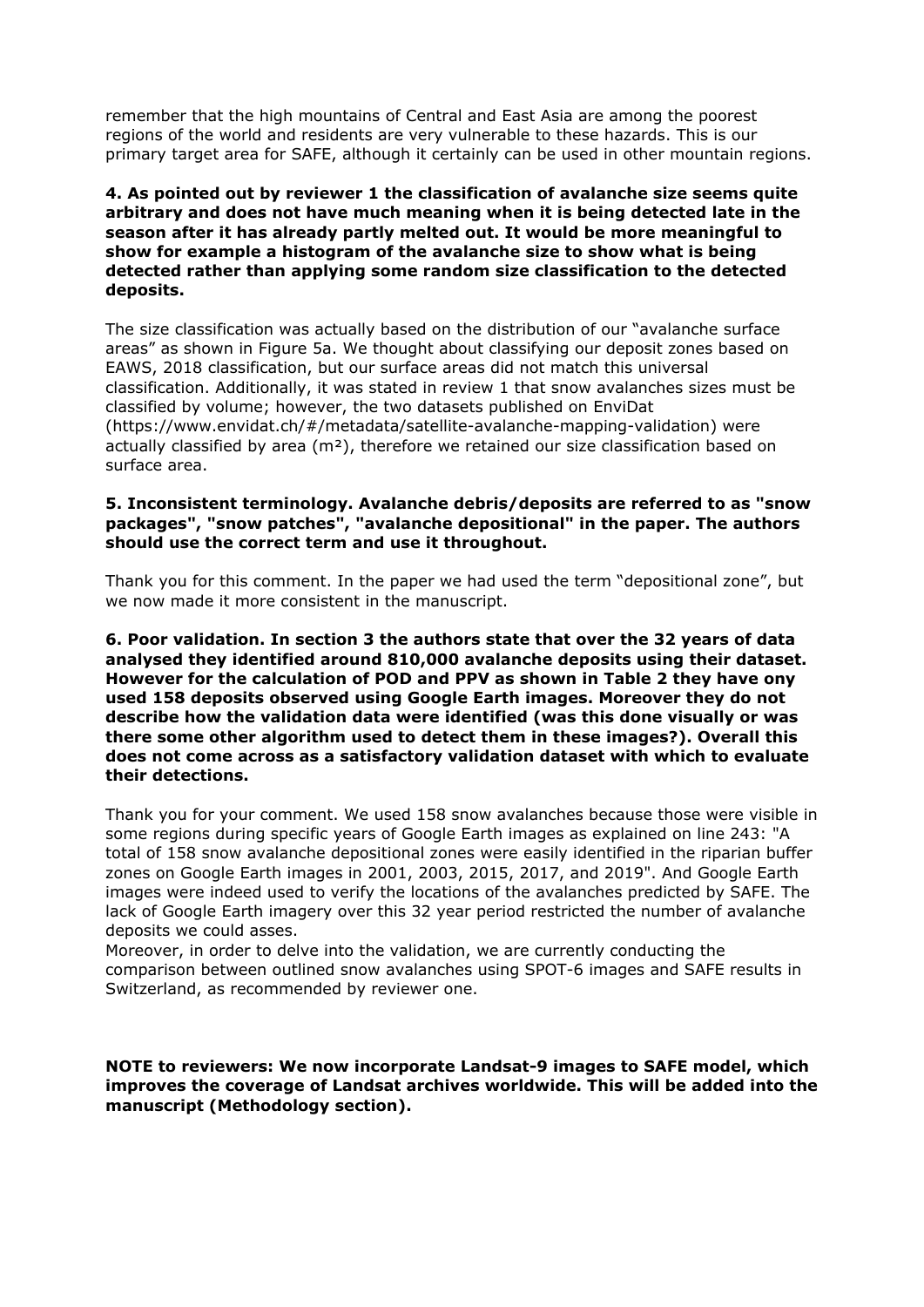remember that the high mountains of Central and East Asia are among the poorest regions of the world and residents are very vulnerable to these hazards. This is our primary target area for SAFE, although it certainly can be used in other mountain regions.

## **4. As pointed out by reviewer 1 the classification of avalanche size seems quite arbitrary and does not have much meaning when it is being detected late in the season after it has already partly melted out. It would be more meaningful to show for example a histogram of the avalanche size to show what is being detected rather than applying some random size classification to the detected deposits.**

The size classification was actually based on the distribution of our "avalanche surface areas" as shown in Figure 5a. We thought about classifying our deposit zones based on EAWS, 2018 classification, but our surface areas did not match this universal classification. Additionally, it was stated in review 1 that snow avalanches sizes must be classified by volume; however, the two datasets published on EnviDat (https://www.envidat.ch/#/metadata/satellite-avalanche-mapping-validation) were actually classified by area ( $m<sup>2</sup>$ ), therefore we retained our size classification based on surface area.

## **5. Inconsistent terminology. Avalanche debris/deposits are referred to as "snow packages", "snow patches", "avalanche depositional" in the paper. The authors should use the correct term and use it throughout.**

Thank you for this comment. In the paper we had used the term "depositional zone", but we now made it more consistent in the manuscript.

**6. Poor validation. In section 3 the authors state that over the 32 years of data analysed they identified around 810,000 avalanche deposits using their dataset. However for the calculation of POD and PPV as shown in Table 2 they have ony used 158 deposits observed using Google Earth images. Moreover they do not describe how the validation data were identified (was this done visually or was there some other algorithm used to detect them in these images?). Overall this does not come across as a satisfactory validation dataset with which to evaluate their detections.**

Thank you for your comment. We used 158 snow avalanches because those were visible in some regions during specific years of Google Earth images as explained on line 243: "A total of 158 snow avalanche depositional zones were easily identified in the riparian buffer zones on Google Earth images in 2001, 2003, 2015, 2017, and 2019". And Google Earth images were indeed used to verify the locations of the avalanches predicted by SAFE. The lack of Google Earth imagery over this 32 year period restricted the number of avalanche deposits we could asses.

Moreover, in order to delve into the validation, we are currently conducting the comparison between outlined snow avalanches using SPOT-6 images and SAFE results in Switzerland, as recommended by reviewer one.

**NOTE to reviewers: We now incorporate Landsat-9 images to SAFE model, which improves the coverage of Landsat archives worldwide. This will be added into the manuscript (Methodology section).**